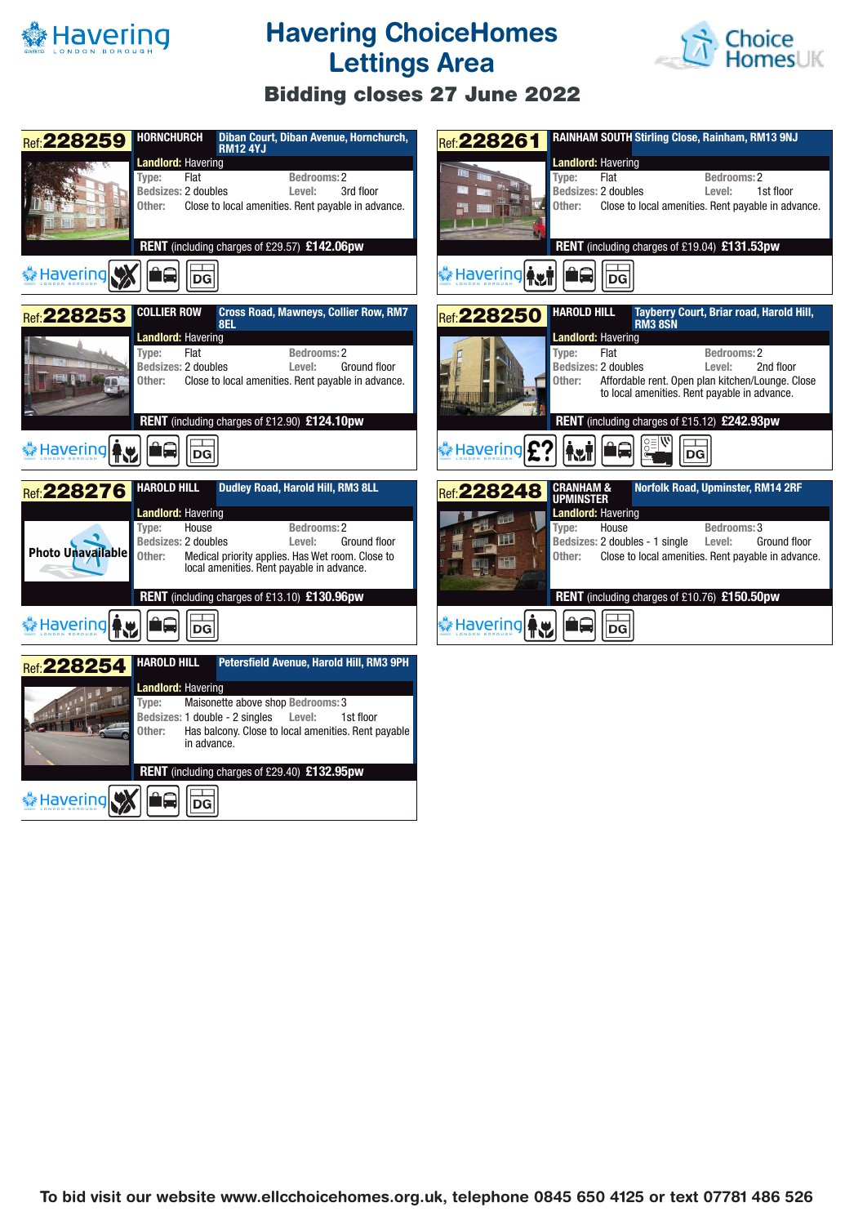

## **Havering ChoiceHomes Lettings Area**



## **Bidding closes 27 June 2022**

| <b>HORNCHURCH</b><br>Diban Court, Diban Avenue, Hornchurch,<br>Ref: 228259<br><b>RM12 4YJ</b><br><b>Landlord: Havering</b><br>Flat<br><b>Bedrooms: 2</b><br>Type:<br><b>Bedsizes: 2 doubles</b><br>Level:<br>3rd floor<br>Other:<br>Close to local amenities. Rent payable in advance.<br>Ⅱ単<br>RENT (including charges of £29.57) £142.06pw<br>† Havering<br><b>DG</b>                                              | RAINHAM SOUTH Stirling Close, Rainham, RM13 9NJ<br><b>Ref: 228261</b><br><b>Landlord: Havering</b><br>Flat<br>Bedrooms: 2<br>Type:<br>Bedsizes: 2 doubles<br>Level:<br>1st floor<br>Other:<br>Close to local amenities. Rent payable in advance.<br>RENT (including charges of £19.04) £131.53pw<br><mark>参 Havering</mark> 个 <mark>儿</mark><br>بدا<br>DG                                                                     |
|----------------------------------------------------------------------------------------------------------------------------------------------------------------------------------------------------------------------------------------------------------------------------------------------------------------------------------------------------------------------------------------------------------------------|-------------------------------------------------------------------------------------------------------------------------------------------------------------------------------------------------------------------------------------------------------------------------------------------------------------------------------------------------------------------------------------------------------------------------------|
| <b>Cross Road, Mawneys, Collier Row, RM7</b><br><b>COLLIER ROW</b><br>Ref: 228253<br>8EL<br><b>Landlord: Havering</b><br>Flat<br><b>Bedrooms: 2</b><br>Type:<br>Bedsizes: 2 doubles<br>Ground floor<br>Level:<br>Other:<br>Close to local amenities. Rent payable in advance.<br>RENT (including charges of £12.90) £124.10pw<br><b>* Havering Fry</b><br>DG                                                         | <b>HAROLD HILL</b><br>Tayberry Court, Briar road, Harold Hill,<br><b>Ref: 228250</b><br><b>RM3 8SN</b><br><b>Landlord: Havering</b><br>Flat<br>Bedrooms: 2<br>Type:<br>Bedsizes: 2 doubles<br>2nd floor<br>Level:<br>Affordable rent. Open plan kitchen/Lounge. Close<br>Other:<br>to local amenities. Rent payable in advance.<br>RENT (including charges of £15.12) £242.93pw<br>† Havering<br><b>Ry</b><br>$\overline{DG}$ |
| <b>HAROLD HILL</b><br>Dudley Road, Harold Hill, RM3 8LL<br><b>Ref: 228276</b><br><b>Landlord: Havering</b><br>House<br>Bedrooms: 2<br>Type:<br>Bedsizes: 2 doubles<br>Level:<br><b>Ground floor</b><br>Photo Unavailable<br>Medical priority applies. Has Wet room. Close to<br>Other:<br>local amenities. Rent payable in advance.<br>RENT (including charges of £13.10) £130.96pw<br><mark>◆ Havering</mark><br>DG | Norfolk Road, Upminster, RM14 2RF<br><b>CRANHAM &amp;</b><br>Ref: 228248<br><b>UPMINSTER</b><br><b>Landlord: Havering</b><br>FE<br>Type:<br>House<br>Bedrooms: 3<br>吧<br>Bedsizes: 2 doubles - 1 single<br>Level:<br>Ground floor<br>Close to local amenities. Rent payable in advance.<br>Other:<br>RENT (including charges of £10.76) £150.50pw<br>ûQ<br> DG                                                                |
| <b>HAROLD HILL</b><br>Petersfield Avenue, Harold Hill, RM3 9PH<br>Ref: 228254<br><b>Landlord: Havering</b><br>Maisonette above shop Bedrooms: 3<br>Type:<br>Level:<br>Bedsizes: 1 double - 2 singles<br>1st floor<br>Has balcony. Close to local amenities. Rent payable<br>Other:<br>in advance.<br>RENT (including charges of £29.40) £132.95pw<br>Havering<br>1Q<br>$ \mathsf{DG} $                               |                                                                                                                                                                                                                                                                                                                                                                                                                               |